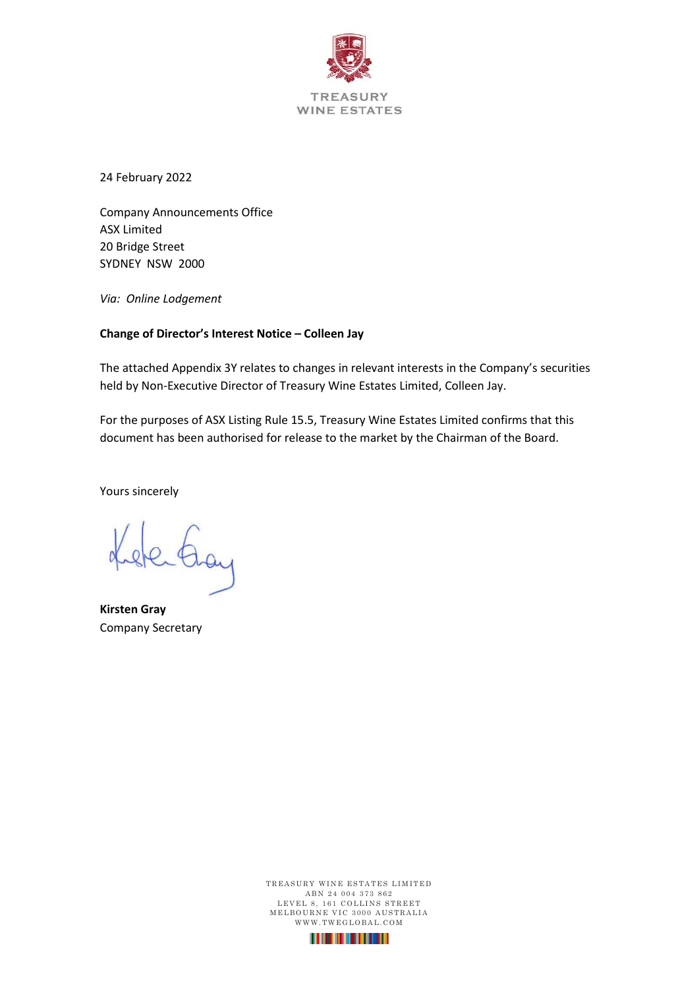

24 February 2022

Company Announcements Office ASX Limited 20 Bridge Street SYDNEY NSW 2000

*Via: Online Lodgement*

#### **Change of Director's Interest Notice – Colleen Jay**

The attached Appendix 3Y relates to changes in relevant interests in the Company's securities held by Non-Executive Director of Treasury Wine Estates Limited, Colleen Jay.

For the purposes of ASX Listing Rule 15.5, Treasury Wine Estates Limited confirms that this document has been authorised for release to the market by the Chairman of the Board.

Yours sincerely

sterting

**Kirsten Gray** Company Secretary

TREASURY WINE ESTATES LIMITED ABN 24 004 373 862 LEVEL 8, 161 COLLINS STREET M E L BOURNE VIC 3000 AUSTRALIA WWW.TWEGLOBAL.COM

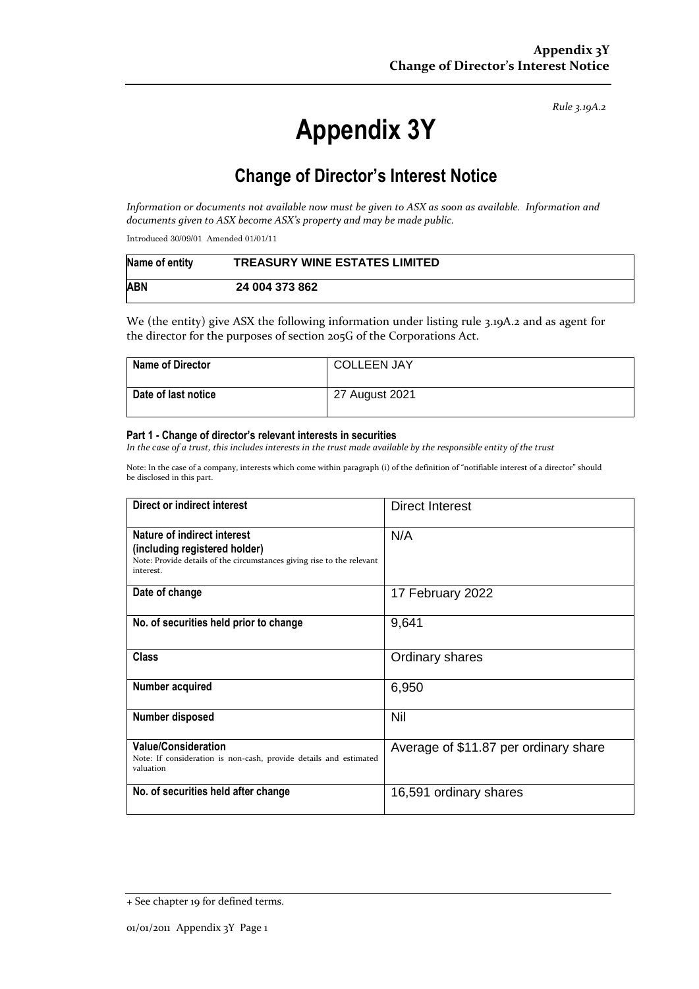*Rule 3.19A.2*

# **Appendix 3Y**

# **Change of Director's Interest Notice**

*Information or documents not available now must be given to ASX as soon as available. Information and documents given to ASX become ASX's property and may be made public.*

Introduced 30/09/01 Amended 01/01/11

| Name of entity | <b>TREASURY WINE ESTATES LIMITED</b> |
|----------------|--------------------------------------|
| <b>ABN</b>     | 24 004 373 862                       |

We (the entity) give ASX the following information under listing rule 3.19A.2 and as agent for the director for the purposes of section 205G of the Corporations Act.

| <b>Name of Director</b> | <b>COLLEEN JAY</b> |
|-------------------------|--------------------|
| Date of last notice     | 27 August 2021     |

#### **Part 1 - Change of director's relevant interests in securities**

*In the case of a trust, this includes interests in the trust made available by the responsible entity of the trust*

Note: In the case of a company, interests which come within paragraph (i) of the definition of "notifiable interest of a director" should be disclosed in this part.

| Direct or indirect interest                                                                                                                         | Direct Interest                       |  |
|-----------------------------------------------------------------------------------------------------------------------------------------------------|---------------------------------------|--|
| Nature of indirect interest<br>(including registered holder)<br>Note: Provide details of the circumstances giving rise to the relevant<br>interest. | N/A                                   |  |
| Date of change                                                                                                                                      | 17 February 2022                      |  |
| No. of securities held prior to change                                                                                                              | 9,641                                 |  |
| <b>Class</b>                                                                                                                                        | Ordinary shares                       |  |
| Number acquired                                                                                                                                     | 6,950                                 |  |
| Number disposed                                                                                                                                     | Nil                                   |  |
| <b>Value/Consideration</b><br>Note: If consideration is non-cash, provide details and estimated<br>valuation                                        | Average of \$11.87 per ordinary share |  |
| No. of securities held after change                                                                                                                 | 16,591 ordinary shares                |  |

<sup>+</sup> See chapter 19 for defined terms.